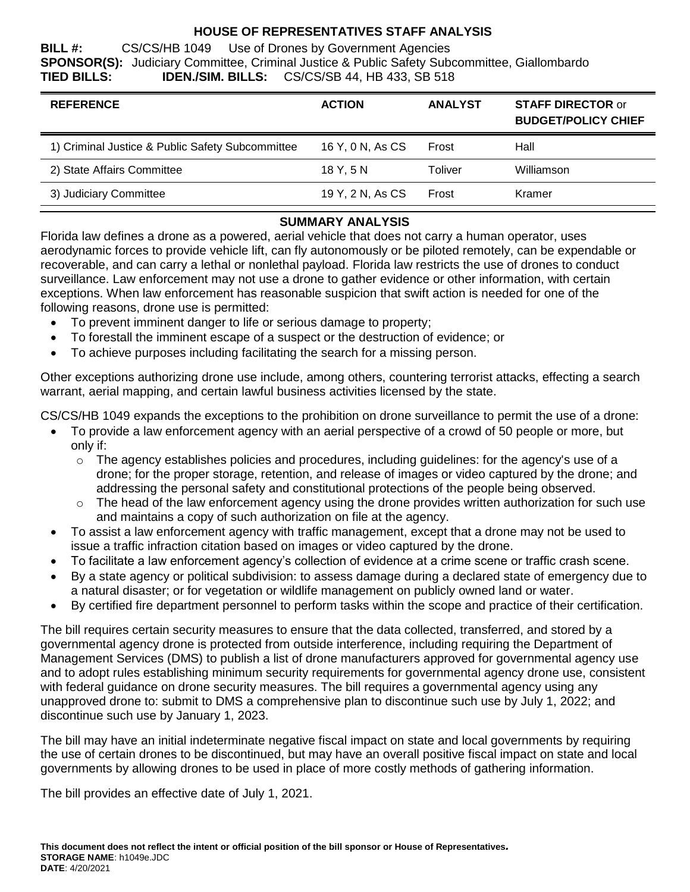## **HOUSE OF REPRESENTATIVES STAFF ANALYSIS**

**BILL #:** CS/CS/HB 1049 Use of Drones by Government Agencies **SPONSOR(S):** Judiciary Committee, Criminal Justice & Public Safety Subcommittee, Giallombardo **TIED BILLS: IDEN./SIM. BILLS:** CS/CS/SB 44, HB 433, SB 518

| <b>REFERENCE</b>                                 | <b>ACTION</b>    | <b>ANALYST</b> | <b>STAFF DIRECTOR or</b><br><b>BUDGET/POLICY CHIEF</b> |
|--------------------------------------------------|------------------|----------------|--------------------------------------------------------|
| 1) Criminal Justice & Public Safety Subcommittee | 16 Y, 0 N, As CS | Frost          | Hall                                                   |
| 2) State Affairs Committee                       | 18 Y.5 N         | Toliver        | Williamson                                             |
| 3) Judiciary Committee                           | 19 Y, 2 N, As CS | Frost          | Kramer                                                 |

# **SUMMARY ANALYSIS**

Florida law defines a drone as a powered, aerial vehicle that does not carry a human operator, uses aerodynamic forces to provide vehicle lift, can fly autonomously or be piloted remotely, can be expendable or recoverable, and can carry a lethal or nonlethal payload. Florida law restricts the use of drones to conduct surveillance. Law enforcement may not use a drone to gather evidence or other information, with certain exceptions. When law enforcement has reasonable suspicion that swift action is needed for one of the following reasons, drone use is permitted:

- To prevent imminent danger to life or serious damage to property;
- To forestall the imminent escape of a suspect or the destruction of evidence; or
- To achieve purposes including facilitating the search for a missing person.

Other exceptions authorizing drone use include, among others, countering terrorist attacks, effecting a search warrant, aerial mapping, and certain lawful business activities licensed by the state.

CS/CS/HB 1049 expands the exceptions to the prohibition on drone surveillance to permit the use of a drone:

- To provide a law enforcement agency with an aerial perspective of a crowd of 50 people or more, but only if:
	- $\circ$  The agency establishes policies and procedures, including guidelines: for the agency's use of a drone; for the proper storage, retention, and release of images or video captured by the drone; and addressing the personal safety and constitutional protections of the people being observed.
	- $\circ$  The head of the law enforcement agency using the drone provides written authorization for such use and maintains a copy of such authorization on file at the agency.
- To assist a law enforcement agency with traffic management, except that a drone may not be used to issue a traffic infraction citation based on images or video captured by the drone.
- To facilitate a law enforcement agency's collection of evidence at a crime scene or traffic crash scene.
- By a state agency or political subdivision: to assess damage during a declared state of emergency due to a natural disaster; or for vegetation or wildlife management on publicly owned land or water.
- By certified fire department personnel to perform tasks within the scope and practice of their certification.

The bill requires certain security measures to ensure that the data collected, transferred, and stored by a governmental agency drone is protected from outside interference, including requiring the Department of Management Services (DMS) to publish a list of drone manufacturers approved for governmental agency use and to adopt rules establishing minimum security requirements for governmental agency drone use, consistent with federal guidance on drone security measures. The bill requires a governmental agency using any unapproved drone to: submit to DMS a comprehensive plan to discontinue such use by July 1, 2022; and discontinue such use by January 1, 2023.

The bill may have an initial indeterminate negative fiscal impact on state and local governments by requiring the use of certain drones to be discontinued, but may have an overall positive fiscal impact on state and local governments by allowing drones to be used in place of more costly methods of gathering information.

The bill provides an effective date of July 1, 2021.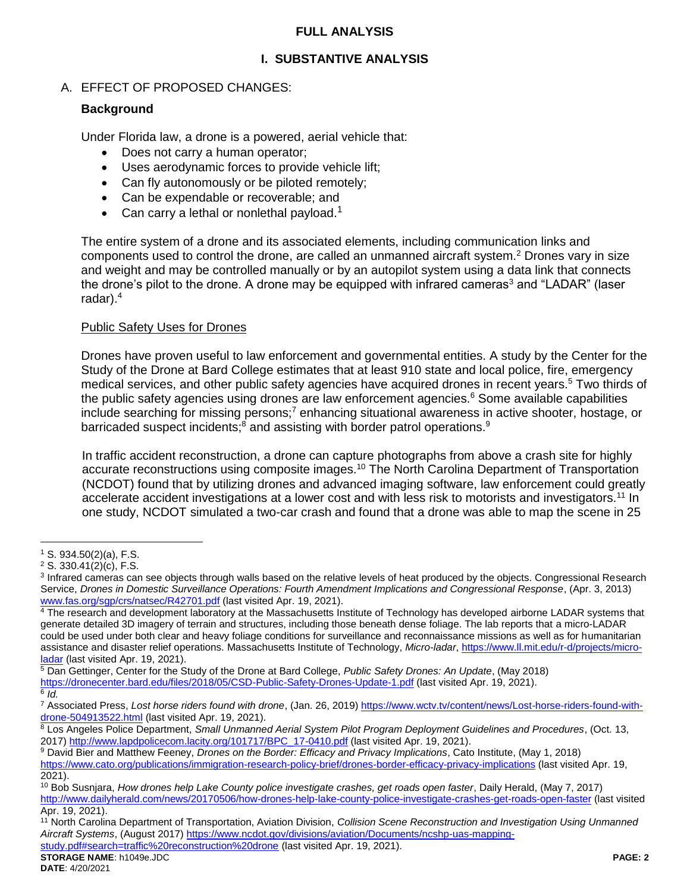## **FULL ANALYSIS**

## **I. SUBSTANTIVE ANALYSIS**

## A. EFFECT OF PROPOSED CHANGES:

## **Background**

Under Florida law, a drone is a powered, aerial vehicle that:

- Does not carry a human operator;
- Uses aerodynamic forces to provide vehicle lift;
- Can fly autonomously or be piloted remotely;
- Can be expendable or recoverable; and
- Can carry a lethal or nonlethal payload.<sup>1</sup>

The entire system of a drone and its associated elements, including communication links and components used to control the drone, are called an unmanned aircraft system.<sup>2</sup> Drones vary in size and weight and may be controlled manually or by an autopilot system using a data link that connects the drone's pilot to the drone. A drone may be equipped with infrared cameras<sup>3</sup> and "LADAR" (laser radar).<sup>4</sup>

#### Public Safety Uses for Drones

Drones have proven useful to law enforcement and governmental entities. A study by the Center for the Study of the Drone at Bard College estimates that at least 910 state and local police, fire, emergency medical services, and other public safety agencies have acquired drones in recent years.<sup>5</sup> Two thirds of the public safety agencies using drones are law enforcement agencies.<sup>6</sup> Some available capabilities include searching for missing persons;<sup>7</sup> enhancing situational awareness in active shooter, hostage, or barricaded suspect incidents;<sup>8</sup> and assisting with border patrol operations.<sup>9</sup>

In traffic accident reconstruction, a drone can capture photographs from above a crash site for highly accurate reconstructions using composite images.<sup>10</sup> The North Carolina Department of Transportation (NCDOT) found that by utilizing drones and advanced imaging software, law enforcement could greatly accelerate accident investigations at a lower cost and with less risk to motorists and investigators.<sup>11</sup> In one study, NCDOT simulated a two-car crash and found that a drone was able to map the scene in 25

 $\overline{a}$ 

<sup>5</sup> Dan Gettinger, Center for the Study of the Drone at Bard College, *Public Safety Drones: An Update*, (May 2018) <https://dronecenter.bard.edu/files/2018/05/CSD-Public-Safety-Drones-Update-1.pdf> (last visited Apr. 19, 2021). 6 *Id.*

<sup>7</sup> Associated Press, Lost horse riders found with drone, (Jan. 26, 2019[\) https://www.wctv.tv/content/news/Lost-horse-riders-found-with](https://www.wctv.tv/content/news/Lost-horse-riders-found-with-drone-504913522.html)[drone-504913522.html](https://www.wctv.tv/content/news/Lost-horse-riders-found-with-drone-504913522.html) (last visited Apr. 19, 2021).

<sup>8</sup> Los Angeles Police Department, *Small Unmanned Aerial System Pilot Program Deployment Guidelines and Procedures*, (Oct. 13, 2017[\) http://www.lapdpolicecom.lacity.org/101717/BPC\\_17-0410.pdf](http://www.lapdpolicecom.lacity.org/101717/BPC_17-0410.pdf) (last visited Apr. 19, 2021).

<sup>9</sup> David Bier and Matthew Feeney, *Drones on the Border: Efficacy and Privacy Implications*, Cato Institute, (May 1, 2018)

<https://www.cato.org/publications/immigration-research-policy-brief/drones-border-efficacy-privacy-implications> (last visited Apr. 19, 2021).

[study.pdf#search=traffic%20reconstruction%20drone](https://www.ncdot.gov/divisions/aviation/Documents/ncshp-uas-mapping-study.pdf#search=traffic%20reconstruction%20drone) (last visited Apr. 19, 2021).

 $1$  S. 934.50(2)(a), F.S.

 $2$  S. 330.41(2)(c), F.S.

<sup>&</sup>lt;sup>3</sup> Infrared cameras can see objects through walls based on the relative levels of heat produced by the objects. Congressional Research Service, *Drones in Domestic Surveillance Operations: Fourth Amendment Implications and Congressional Response*, (Apr. 3, 2013) [www.fas.org/sgp/crs/natsec/R42701.pdf](http://www.fas.org/sgp/crs/natsec/R42701.pdf) (last visited Apr. 19, 2021).

 $4$ The research and development laboratory at the Massachusetts Institute of Technology has developed airborne LADAR systems that generate detailed 3D imagery of terrain and structures, including those beneath dense foliage. The lab reports that a micro-LADAR could be used under both clear and heavy foliage conditions for surveillance and reconnaissance missions as well as for humanitarian assistance and disaster relief operations. Massachusetts Institute of Technology, *Micro-ladar*[, https://www.ll.mit.edu/r-d/projects/micro](https://www.ll.mit.edu/r-d/projects/micro-ladar)[ladar](https://www.ll.mit.edu/r-d/projects/micro-ladar) (last visited Apr. 19, 2021).

<sup>10</sup> Bob Susnjara, *How drones help Lake County police investigate crashes, get roads open faster*, Daily Herald, (May 7, 2017) <http://www.dailyherald.com/news/20170506/how-drones-help-lake-county-police-investigate-crashes-get-roads-open-faster> (last visited Apr. 19, 2021).

<sup>11</sup> North Carolina Department of Transportation, Aviation Division, *Collision Scene Reconstruction and Investigation Using Unmanned Aircraft Systems*, (August 2017[\) https://www.ncdot.gov/divisions/aviation/Documents/ncshp-uas-mapping-](https://www.ncdot.gov/divisions/aviation/Documents/ncshp-uas-mapping-study.pdf#search=traffic%20reconstruction%20drone)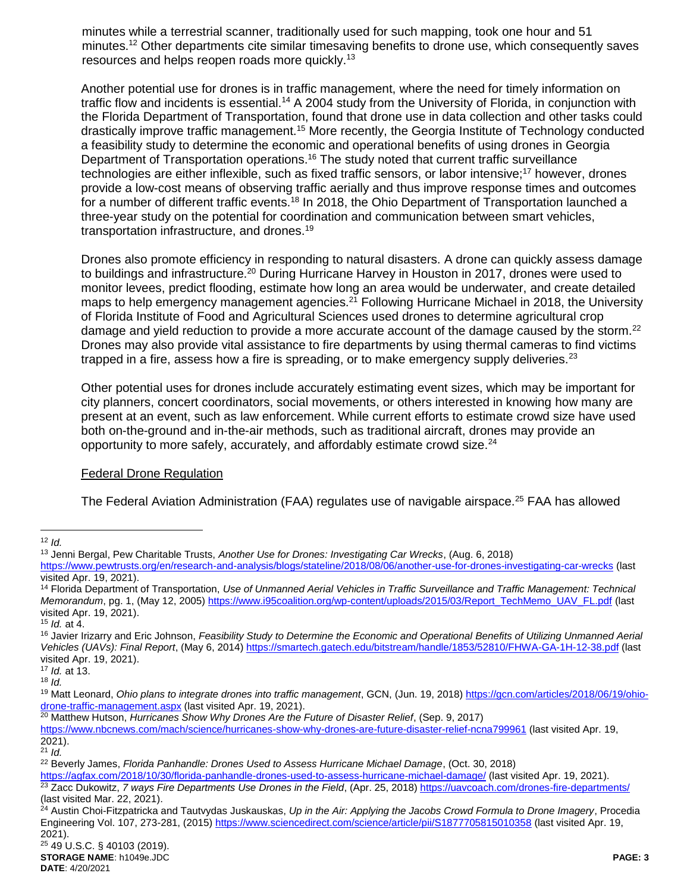minutes while a terrestrial scanner, traditionally used for such mapping, took one hour and 51 minutes.<sup>12</sup> Other departments cite similar timesaving benefits to drone use, which consequently saves resources and helps reopen roads more quickly.<sup>13</sup>

Another potential use for drones is in traffic management, where the need for timely information on traffic flow and incidents is essential.<sup>14</sup> A 2004 study from the University of Florida, in conjunction with the Florida Department of Transportation, found that drone use in data collection and other tasks could drastically improve traffic management.<sup>15</sup> More recently, the Georgia Institute of Technology conducted a feasibility study to determine the economic and operational benefits of using drones in Georgia Department of Transportation operations.<sup>16</sup> The study noted that current traffic surveillance technologies are either inflexible, such as fixed traffic sensors, or labor intensive;<sup>17</sup> however, drones provide a low-cost means of observing traffic aerially and thus improve response times and outcomes for a number of different traffic events.<sup>18</sup> In 2018, the Ohio Department of Transportation launched a three-year study on the potential for coordination and communication between smart vehicles, transportation infrastructure, and drones.<sup>19</sup>

Drones also promote efficiency in responding to natural disasters. A drone can quickly assess damage to buildings and infrastructure.<sup>20</sup> During Hurricane Harvey in Houston in 2017, drones were used to monitor levees, predict flooding, estimate how long an area would be underwater, and create detailed maps to help emergency management agencies.<sup>21</sup> Following Hurricane Michael in 2018, the University of Florida Institute of Food and Agricultural Sciences used drones to determine agricultural crop damage and yield reduction to provide a more accurate account of the damage caused by the storm.<sup>22</sup> Drones may also provide vital assistance to fire departments by using thermal cameras to find victims trapped in a fire, assess how a fire is spreading, or to make emergency supply deliveries. $^{23}$ 

Other potential uses for drones include accurately estimating event sizes, which may be important for city planners, concert coordinators, social movements, or others interested in knowing how many are present at an event, such as law enforcement. While current efforts to estimate crowd size have used both on-the-ground and in-the-air methods, such as traditional aircraft, drones may provide an opportunity to more safely, accurately, and affordably estimate crowd size.<sup>24</sup>

## Federal Drone Regulation

The Federal Aviation Administration (FAA) regulates use of navigable airspace.<sup>25</sup> FAA has allowed

<sup>15</sup> *Id.* at 4.

<sup>17</sup> *Id.* at 13. <sup>18</sup> *Id.*

<sup>20</sup> Matthew Hutson, *Hurricanes Show Why Drones Are the Future of Disaster Relief*, (Sep. 9, 2017)

<https://www.nbcnews.com/mach/science/hurricanes-show-why-drones-are-future-disaster-relief-ncna799961> (last visited Apr. 19, 2021).

 $21$  *Id.* 

 $\overline{a}$ <sup>12</sup> *Id.*

<sup>13</sup> Jenni Bergal, Pew Charitable Trusts, *Another Use for Drones: Investigating Car Wrecks*, (Aug. 6, 2018) <https://www.pewtrusts.org/en/research-and-analysis/blogs/stateline/2018/08/06/another-use-for-drones-investigating-car-wrecks> (last visited Apr. 19, 2021).

<sup>14</sup> Florida Department of Transportation, *Use of Unmanned Aerial Vehicles in Traffic Surveillance and Traffic Management: Technical Memorandum*, pg. 1, (May 12, 2005[\) https://www.i95coalition.org/wp-content/uploads/2015/03/Report\\_TechMemo\\_UAV\\_FL.pdf](https://www.i95coalition.org/wp-content/uploads/2015/03/Report_TechMemo_UAV_FL.pdf) (last visited Apr. 19, 2021).

<sup>&</sup>lt;sup>16</sup> Javier Irizarry and Eric Johnson, *Feasibility Study to Determine the Economic and Operational Benefits of Utilizing Unmanned Aerial Vehicles (UAVs): Final Report*, (May 6, 2014[\) https://smartech.gatech.edu/bitstream/handle/1853/52810/FHWA-GA-1H-12-38.pdf](https://smartech.gatech.edu/bitstream/handle/1853/52810/FHWA-GA-1H-12-38.pdf) (last visited Apr. 19, 2021).

<sup>19</sup> Matt Leonard, *Ohio plans to integrate drones into traffic management*, GCN, (Jun. 19, 2018) [https://gcn.com/articles/2018/06/19/ohio](https://gcn.com/articles/2018/06/19/ohio-drone-traffic-management.aspx)[drone-traffic-management.aspx](https://gcn.com/articles/2018/06/19/ohio-drone-traffic-management.aspx) (last visited Apr. 19, 2021).

<sup>22</sup> Beverly James, *Florida Panhandle: Drones Used to Assess Hurricane Michael Damage*, (Oct. 30, 2018)

<https://agfax.com/2018/10/30/florida-panhandle-drones-used-to-assess-hurricane-michael-damage/> (last visited Apr. 19, 2021). <sup>23</sup> Zacc Dukowitz, 7 ways Fire Departments Use Drones in the Field, (Apr. 25, 2018)<https://uavcoach.com/drones-fire-departments/>

<sup>(</sup>last visited Mar. 22, 2021).

<sup>24</sup> Austin Choi-Fitzpatricka and Tautvydas Juskauskas, *Up in the Air: Applying the Jacobs Crowd Formula to Drone Imagery*, Procedia Engineering Vol. 107, 273-281, (2015)<https://www.sciencedirect.com/science/article/pii/S1877705815010358> (last visited Apr. 19, 2021).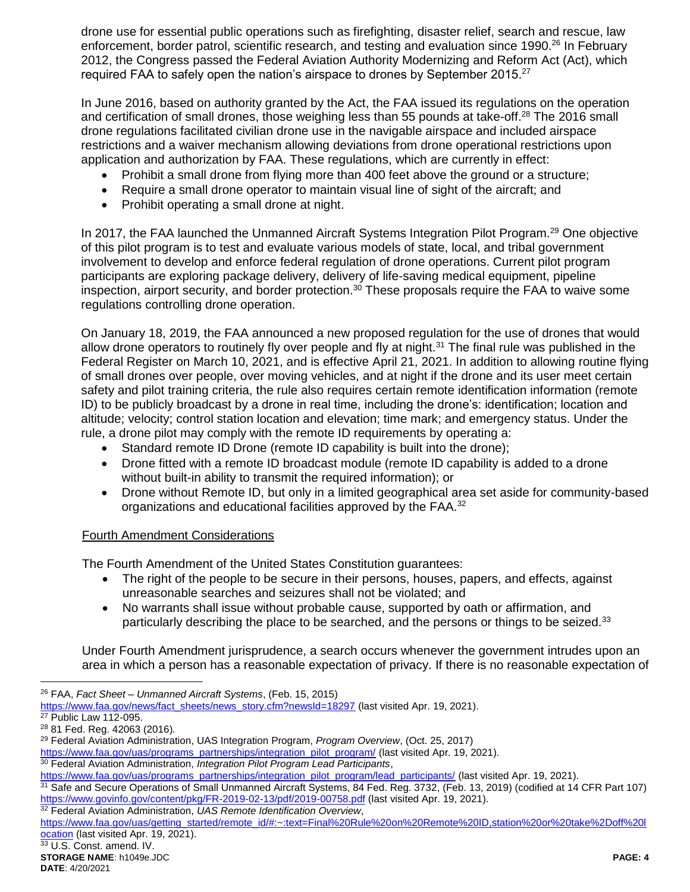drone use for essential public operations such as firefighting, disaster relief, search and rescue, law enforcement, border patrol, scientific research, and testing and evaluation since 1990.<sup>26</sup> In February 2012, the Congress passed the Federal Aviation Authority Modernizing and Reform Act (Act), which required FAA to safely open the nation's airspace to drones by September 2015.<sup>27</sup>

In June 2016, based on authority granted by the Act, the FAA issued its regulations on the operation and certification of small drones, those weighing less than 55 pounds at take-off.<sup>28</sup> The 2016 small drone regulations facilitated civilian drone use in the navigable airspace and included airspace restrictions and a waiver mechanism allowing deviations from drone operational restrictions upon application and authorization by FAA. These regulations, which are currently in effect:

- Prohibit a small drone from flying more than 400 feet above the ground or a structure;
- Require a small drone operator to maintain visual line of sight of the aircraft; and
- Prohibit operating a small drone at night.

In 2017, the FAA launched the Unmanned Aircraft Systems Integration Pilot Program.<sup>29</sup> One objective of this pilot program is to test and evaluate various models of state, local, and tribal government involvement to develop and enforce federal regulation of drone operations. Current pilot program participants are exploring package delivery, delivery of life-saving medical equipment, pipeline inspection, airport security, and border protection.<sup>30</sup> These proposals require the FAA to waive some regulations controlling drone operation.

On January 18, 2019, the FAA announced a new proposed regulation for the use of drones that would allow drone operators to routinely fly over people and fly at night.<sup>31</sup> The final rule was published in the Federal Register on March 10, 2021, and is effective April 21, 2021. In addition to allowing routine flying of small drones over people, over moving vehicles, and at night if the drone and its user meet certain safety and pilot training criteria, the rule also requires certain remote identification information (remote ID) to be publicly broadcast by a drone in real time, including the drone's: identification; location and altitude; velocity; control station location and elevation; time mark; and emergency status. Under the rule, a drone pilot may comply with the remote ID requirements by operating a:

- Standard remote ID Drone (remote ID capability is built into the drone);
- Drone fitted with a remote ID broadcast module (remote ID capability is added to a drone without built-in ability to transmit the required information); or
- Drone without Remote ID, but only in a limited geographical area set aside for community-based organizations and educational facilities approved by the FAA.<sup>32</sup>

## Fourth Amendment Considerations

The Fourth Amendment of the United States Constitution guarantees:

- The right of the people to be secure in their persons, houses, papers, and effects, against unreasonable searches and seizures shall not be violated; and
- No warrants shall issue without probable cause, supported by oath or affirmation, and particularly describing the place to be searched, and the persons or things to be seized.<sup>33</sup>

Under Fourth Amendment jurisprudence, a search occurs whenever the government intrudes upon an area in which a person has a reasonable expectation of privacy. If there is no reasonable expectation of

<sup>28</sup> 81 Fed. Reg. 42063 (2016)*.*

 $\overline{a}$ 

<https://www.govinfo.gov/content/pkg/FR-2019-02-13/pdf/2019-00758.pdf> (last visited Apr. 19, 2021).

<sup>32</sup> Federal Aviation Administration, *UAS Remote Identification Overview*,

[https://www.faa.gov/uas/getting\\_started/remote\\_id/#:~:text=Final%20Rule%20on%20Remote%20ID,station%20or%20take%2Doff%20l](https://www.faa.gov/uas/getting_started/remote_id/#:~:text=Final%20Rule%20on%20Remote%20ID,station%20or%20take%2Doff%20location) [ocation](https://www.faa.gov/uas/getting_started/remote_id/#:~:text=Final%20Rule%20on%20Remote%20ID,station%20or%20take%2Doff%20location) (last visited Apr. 19, 2021).

<sup>26</sup> FAA, *Fact Sheet – Unmanned Aircraft Systems*, (Feb. 15, 2015)

[https://www.faa.gov/news/fact\\_sheets/news\\_story.cfm?newsId=18297](https://www.faa.gov/news/fact_sheets/news_story.cfm?newsId=18297) (last visited Apr. 19, 2021). <sup>27</sup> Public Law 112-095.

<sup>29</sup> Federal Aviation Administration, UAS Integration Program, *Program Overview*, (Oct. 25, 2017)

[https://www.faa.gov/uas/programs\\_partnerships/integration\\_pilot\\_program/](https://www.faa.gov/uas/programs_partnerships/integration_pilot_program/) (last visited Apr. 19, 2021).

<sup>30</sup> Federal Aviation Administration, *Integration Pilot Program Lead Participants*,

[https://www.faa.gov/uas/programs\\_partnerships/integration\\_pilot\\_program/lead\\_participants/](https://www.faa.gov/uas/programs_partnerships/integration_pilot_program/lead_participants/) (last visited Apr. 19, 2021). <sup>31</sup> Safe and Secure Operations of Small Unmanned Aircraft Systems, 84 Fed. Reg. 3732, (Feb. 13, 2019) (codified at 14 CFR Part 107)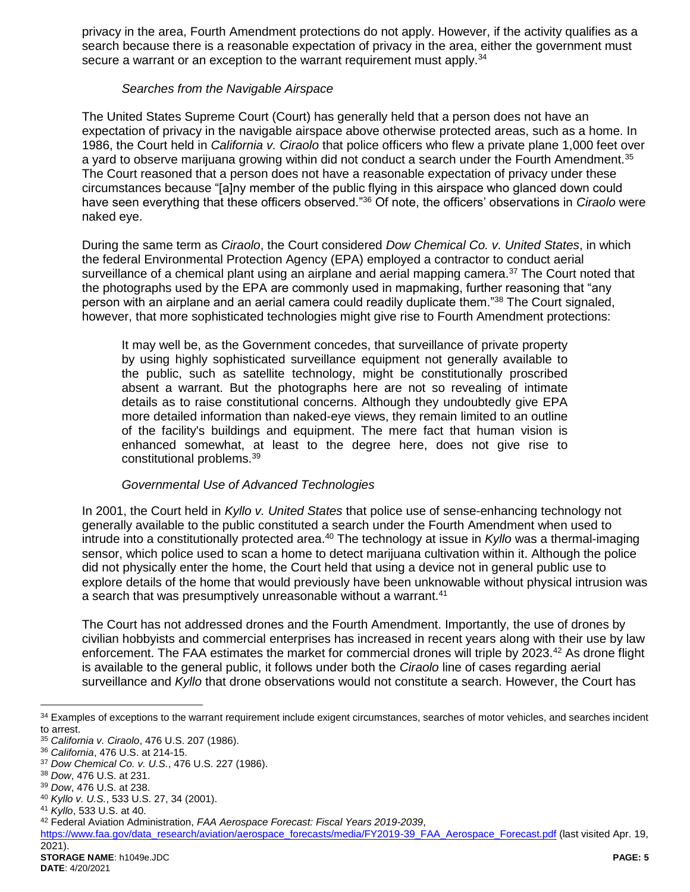privacy in the area, Fourth Amendment protections do not apply. However, if the activity qualifies as a search because there is a reasonable expectation of privacy in the area, either the government must secure a warrant or an exception to the warrant requirement must apply.<sup>34</sup>

#### *Searches from the Navigable Airspace*

The United States Supreme Court (Court) has generally held that a person does not have an expectation of privacy in the navigable airspace above otherwise protected areas, such as a home. In 1986, the Court held in *California v. Ciraolo* that police officers who flew a private plane 1,000 feet over a yard to observe marijuana growing within did not conduct a search under the Fourth Amendment.<sup>35</sup> The Court reasoned that a person does not have a reasonable expectation of privacy under these circumstances because "[a]ny member of the public flying in this airspace who glanced down could have seen everything that these officers observed."<sup>36</sup> Of note, the officers' observations in *Ciraolo* were naked eye.

During the same term as *Ciraolo*, the Court considered *Dow Chemical Co. v. United States*, in which the federal Environmental Protection Agency (EPA) employed a contractor to conduct aerial surveillance of a chemical plant using an airplane and aerial mapping camera.<sup>37</sup> The Court noted that the photographs used by the EPA are commonly used in mapmaking, further reasoning that "any person with an airplane and an aerial camera could readily duplicate them."<sup>38</sup> The Court signaled, however, that more sophisticated technologies might give rise to Fourth Amendment protections:

It may well be, as the Government concedes, that surveillance of private property by using highly sophisticated surveillance equipment not generally available to the public, such as satellite technology, might be constitutionally proscribed absent a warrant. But the photographs here are not so revealing of intimate details as to raise constitutional concerns. Although they undoubtedly give EPA more detailed information than naked-eye views, they remain limited to an outline of the facility's buildings and equipment. The mere fact that human vision is enhanced somewhat, at least to the degree here, does not give rise to constitutional problems.<sup>39</sup>

## *Governmental Use of Advanced Technologies*

In 2001, the Court held in *Kyllo v. United States* that police use of sense-enhancing technology not generally available to the public constituted a search under the Fourth Amendment when used to intrude into a constitutionally protected area.<sup>40</sup> The technology at issue in *Kyllo* was a thermal-imaging sensor, which police used to scan a home to detect marijuana cultivation within it. Although the police did not physically enter the home, the Court held that using a device not in general public use to explore details of the home that would previously have been unknowable without physical intrusion was a search that was presumptively unreasonable without a warrant.<sup>41</sup>

The Court has not addressed drones and the Fourth Amendment. Importantly, the use of drones by civilian hobbyists and commercial enterprises has increased in recent years along with their use by law enforcement. The FAA estimates the market for commercial drones will triple by 2023.<sup>42</sup> As drone flight is available to the general public, it follows under both the *Ciraolo* line of cases regarding aerial surveillance and *Kyllo* that drone observations would not constitute a search. However, the Court has

 $\overline{a}$ 

<sup>34</sup> Examples of exceptions to the warrant requirement include exigent circumstances, searches of motor vehicles, and searches incident to arrest.

<sup>35</sup> *California v. Ciraolo*, 476 U.S. 207 (1986).

<sup>36</sup> *California*, 476 U.S. at 214-15.

<sup>37</sup> *Dow Chemical Co. v. U.S.*, 476 U.S. 227 (1986).

<sup>38</sup> *Dow*, 476 U.S. at 231.

<sup>39</sup> *Dow*, 476 U.S. at 238.

<sup>40</sup> *Kyllo v. U.S.*, 533 U.S. 27, 34 (2001).

<sup>41</sup> *Kyllo*, 533 U.S. at 40.

<sup>42</sup> Federal Aviation Administration, *FAA Aerospace Forecast: Fiscal Years 2019-2039*,

[https://www.faa.gov/data\\_research/aviation/aerospace\\_forecasts/media/FY2019-39\\_FAA\\_Aerospace\\_Forecast.pdf](https://www.faa.gov/data_research/aviation/aerospace_forecasts/media/FY2019-39_FAA_Aerospace_Forecast.pdf) (last visited Apr. 19, 2021).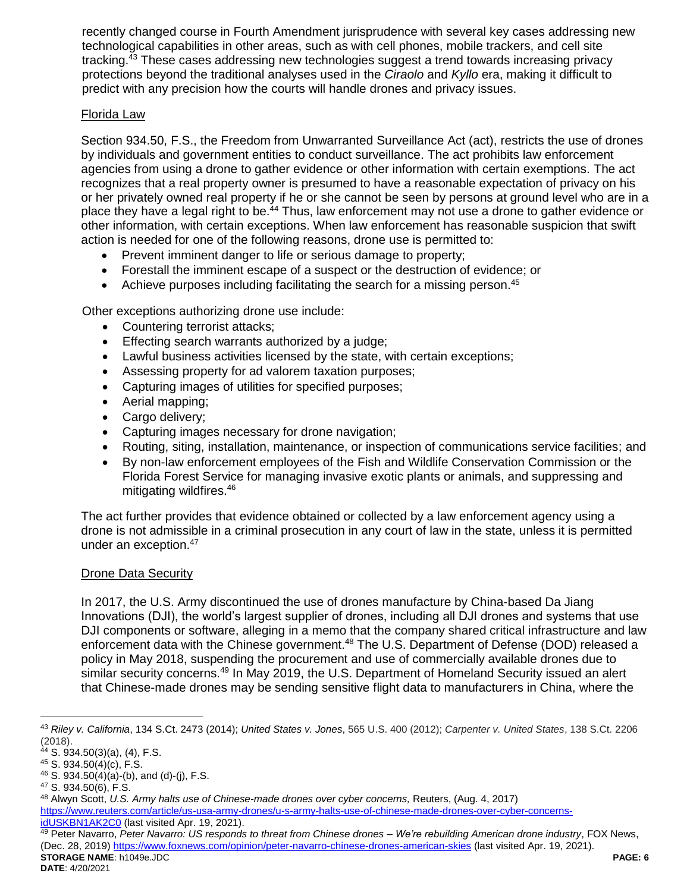recently changed course in Fourth Amendment jurisprudence with several key cases addressing new technological capabilities in other areas, such as with cell phones, mobile trackers, and cell site tracking.<sup>43</sup> These cases addressing new technologies suggest a trend towards increasing privacy protections beyond the traditional analyses used in the *Ciraolo* and *Kyllo* era, making it difficult to predict with any precision how the courts will handle drones and privacy issues.

### Florida Law

Section 934.50, F.S., the Freedom from Unwarranted Surveillance Act (act), restricts the use of drones by individuals and government entities to conduct surveillance. The act prohibits law enforcement agencies from using a drone to gather evidence or other information with certain exemptions. The act recognizes that a real property owner is presumed to have a reasonable expectation of privacy on his or her privately owned real property if he or she cannot be seen by persons at ground level who are in a place they have a legal right to be.<sup>44</sup> Thus, law enforcement may not use a drone to gather evidence or other information, with certain exceptions. When law enforcement has reasonable suspicion that swift action is needed for one of the following reasons, drone use is permitted to:

- Prevent imminent danger to life or serious damage to property;
- Forestall the imminent escape of a suspect or the destruction of evidence; or
- Achieve purposes including facilitating the search for a missing person.<sup>45</sup>

Other exceptions authorizing drone use include:

- Countering terrorist attacks;
- **Effecting search warrants authorized by a judge;**
- Lawful business activities licensed by the state, with certain exceptions;
- Assessing property for ad valorem taxation purposes;
- Capturing images of utilities for specified purposes;
- Aerial mapping;
- Cargo delivery;
- Capturing images necessary for drone navigation;
- Routing, siting, installation, maintenance, or inspection of communications service facilities; and
- By non-law enforcement employees of the Fish and Wildlife Conservation Commission or the Florida Forest Service for managing invasive exotic plants or animals, and suppressing and mitigating wildfires. 46

The act further provides that evidence obtained or collected by a law enforcement agency using a drone is not admissible in a criminal prosecution in any court of law in the state, unless it is permitted under an exception.<sup>47</sup>

## Drone Data Security

In 2017, the U.S. Army discontinued the use of drones manufacture by China-based Da Jiang Innovations (DJI), the world's largest supplier of drones, including all DJI drones and systems that use DJI components or software, alleging in a memo that the company shared critical infrastructure and law enforcement data with the Chinese government.<sup>48</sup> The U.S. Department of Defense (DOD) released a policy in May 2018, suspending the procurement and use of commercially available drones due to similar security concerns.<sup>49</sup> In May 2019, the U.S. Department of Homeland Security issued an alert that Chinese-made drones may be sending sensitive flight data to manufacturers in China, where the

 $\overline{a}$ 

<sup>43</sup> *Riley v. California*, 134 S.Ct. 2473 (2014); *United States v. Jones*, 565 U.S. 400 (2012); *Carpenter v. United States*, 138 S.Ct. 2206 (2018).

<sup>44</sup> S. 934.50(3)(a), (4), F.S.

<sup>45</sup> S. 934.50(4)(c), F.S.

 $46$  S. 934.50(4)(a)-(b), and (d)-(j), F.S.

<sup>47</sup> S. 934.50(6), F.S.

<sup>48</sup> Alwyn Scott, *U.S. Army halts use of Chinese-made drones over cyber concerns,* Reuters, (Aug. 4, 2017)

[https://www.reuters.com/article/us-usa-army-drones/u-s-army-halts-use-of-chinese-made-drones-over-cyber-concerns](https://www.reuters.com/article/us-usa-army-drones/u-s-army-halts-use-of-chinese-made-drones-over-cyber-concerns-idUSKBN1AK2C0)[idUSKBN1AK2C0](https://www.reuters.com/article/us-usa-army-drones/u-s-army-halts-use-of-chinese-made-drones-over-cyber-concerns-idUSKBN1AK2C0) (last visited Apr. 19, 2021).

**STORAGE NAME**: h1049e.JDC **PAGE: 6** <sup>49</sup> Peter Navarro, *Peter Navarro: US responds to threat from Chinese drones – We're rebuilding American drone industry*, FOX News, (Dec. 28, 2019) <https://www.foxnews.com/opinion/peter-navarro-chinese-drones-american-skies> (last visited Apr. 19, 2021).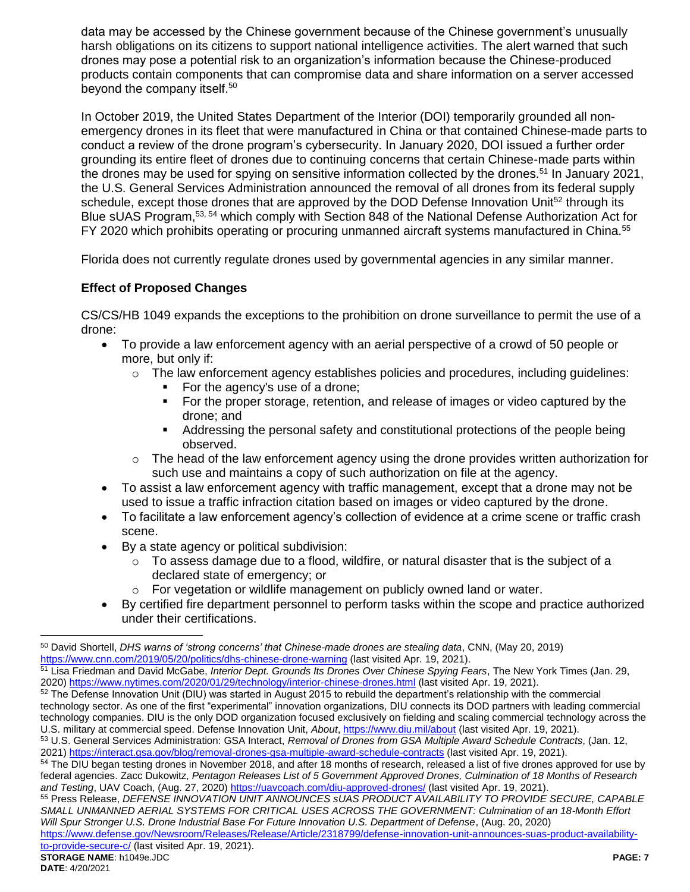data may be accessed by the Chinese government because of the Chinese government's unusually harsh obligations on its citizens to support national intelligence activities. The alert warned that such drones may pose a potential risk to an organization's information because the Chinese-produced products contain components that can compromise data and share information on a server accessed beyond the company itself.<sup>50</sup>

In October 2019, the United States Department of the Interior (DOI) temporarily grounded all nonemergency drones in its fleet that were manufactured in China or that contained Chinese-made parts to conduct a review of the drone program's cybersecurity. In January 2020, DOI issued a further order grounding its entire fleet of drones due to continuing concerns that certain Chinese-made parts within the drones may be used for spying on sensitive information collected by the drones.<sup>51</sup> In January 2021, the U.S. General Services Administration announced the removal of all drones from its federal supply schedule, except those drones that are approved by the DOD Defense Innovation Unit<sup>52</sup> through its Blue sUAS Program,53, 54 which comply with Section 848 of the National Defense Authorization Act for FY 2020 which prohibits operating or procuring unmanned aircraft systems manufactured in China.<sup>55</sup>

Florida does not currently regulate drones used by governmental agencies in any similar manner.

## **Effect of Proposed Changes**

CS/CS/HB 1049 expands the exceptions to the prohibition on drone surveillance to permit the use of a drone:

- To provide a law enforcement agency with an aerial perspective of a crowd of 50 people or more, but only if:
	- $\circ$  The law enforcement agency establishes policies and procedures, including guidelines:
		- For the agency's use of a drone;
		- For the proper storage, retention, and release of images or video captured by the drone; and
		- Addressing the personal safety and constitutional protections of the people being observed.
	- o The head of the law enforcement agency using the drone provides written authorization for such use and maintains a copy of such authorization on file at the agency.
- To assist a law enforcement agency with traffic management, except that a drone may not be used to issue a traffic infraction citation based on images or video captured by the drone.
- To facilitate a law enforcement agency's collection of evidence at a crime scene or traffic crash scene.
- By a state agency or political subdivision:
	- $\circ$  To assess damage due to a flood, wildfire, or natural disaster that is the subject of a declared state of emergency; or
	- o For vegetation or wildlife management on publicly owned land or water.
- By certified fire department personnel to perform tasks within the scope and practice authorized under their certifications.

- <sup>51</sup> Lisa Friedman and David McGabe, *Interior Dept. Grounds Its Drones Over Chinese Spying Fears*, The New York Times (Jan. 29, 2020[\) https://www.nytimes.com/2020/01/29/technology/interior-chinese-drones.html](https://www.nytimes.com/2020/01/29/technology/interior-chinese-drones.html) (last visited Apr. 19, 2021).
- <sup>52</sup> The Defense Innovation Unit (DIU) was started in August 2015 to rebuild the department's relationship with the commercial technology sector. As one of the first "experimental" innovation organizations, DIU connects its DOD partners with leading commercial technology companies. DIU is the only DOD organization focused exclusively on fielding and scaling commercial technology across the U.S. military at commercial speed. Defense Innovation Unit, *About*[, https://www.diu.mil/about](https://www.diu.mil/about) (last visited Apr. 19, 2021).

<sup>54</sup> The DIU began testing drones in November 2018, and after 18 months of research, released a list of five drones approved for use by federal agencies. Zacc Dukowitz, *Pentagon Releases List of 5 Government Approved Drones, Culmination of 18 Months of Research and Testing*, UAV Coach, (Aug. 27, 2020[\) https://uavcoach.com/diu-approved-drones/](https://uavcoach.com/diu-approved-drones/) (last visited Apr. 19, 2021).

<sup>55</sup> Press Release, *DEFENSE INNOVATION UNIT ANNOUNCES sUAS PRODUCT AVAILABILITY TO PROVIDE SECURE, CAPABLE SMALL UNMANNED AERIAL SYSTEMS FOR CRITICAL USES ACROSS THE GOVERNMENT: Culmination of an 18-Month Effort Will Spur Stronger U.S. Drone Industrial Base For Future Innovation U.S. Department of Defense*, (Aug. 20, 2020)

 $\overline{a}$ 

<sup>50</sup> David Shortell, *DHS warns of 'strong concerns' that Chinese-made drones are stealing data*, CNN, (May 20, 2019) <https://www.cnn.com/2019/05/20/politics/dhs-chinese-drone-warning> (last visited Apr. 19, 2021).

<sup>53</sup> U.S. General Services Administration: GSA Interact, *Removal of Drones from GSA Multiple Award Schedule Contracts*, (Jan. 12, 2021[\) https://interact.gsa.gov/blog/removal-drones-gsa-multiple-award-schedule-contracts](https://interact.gsa.gov/blog/removal-drones-gsa-multiple-award-schedule-contracts) (last visited Apr. 19, 2021).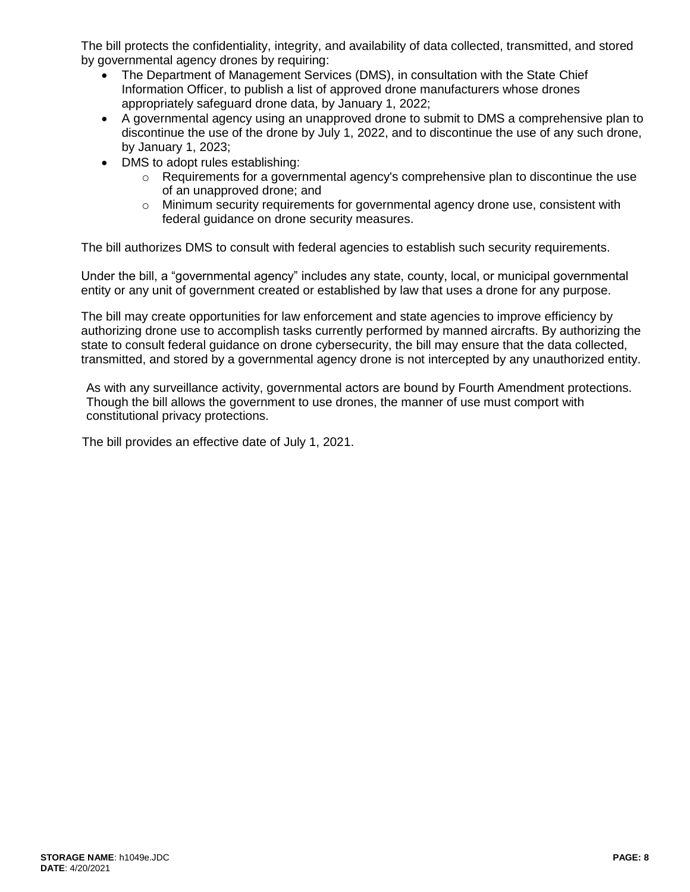The bill protects the confidentiality, integrity, and availability of data collected, transmitted, and stored by governmental agency drones by requiring:

- The Department of Management Services (DMS), in consultation with the State Chief Information Officer, to publish a list of approved drone manufacturers whose drones appropriately safeguard drone data, by January 1, 2022;
- A governmental agency using an unapproved drone to submit to DMS a comprehensive plan to discontinue the use of the drone by July 1, 2022, and to discontinue the use of any such drone, by January 1, 2023;
- DMS to adopt rules establishing:
	- $\circ$  Requirements for a governmental agency's comprehensive plan to discontinue the use of an unapproved drone; and
	- $\circ$  Minimum security requirements for governmental agency drone use, consistent with federal guidance on drone security measures.

The bill authorizes DMS to consult with federal agencies to establish such security requirements.

Under the bill, a "governmental agency" includes any state, county, local, or municipal governmental entity or any unit of government created or established by law that uses a drone for any purpose.

The bill may create opportunities for law enforcement and state agencies to improve efficiency by authorizing drone use to accomplish tasks currently performed by manned aircrafts. By authorizing the state to consult federal guidance on drone cybersecurity, the bill may ensure that the data collected, transmitted, and stored by a governmental agency drone is not intercepted by any unauthorized entity.

As with any surveillance activity, governmental actors are bound by Fourth Amendment protections. Though the bill allows the government to use drones, the manner of use must comport with constitutional privacy protections.

The bill provides an effective date of July 1, 2021.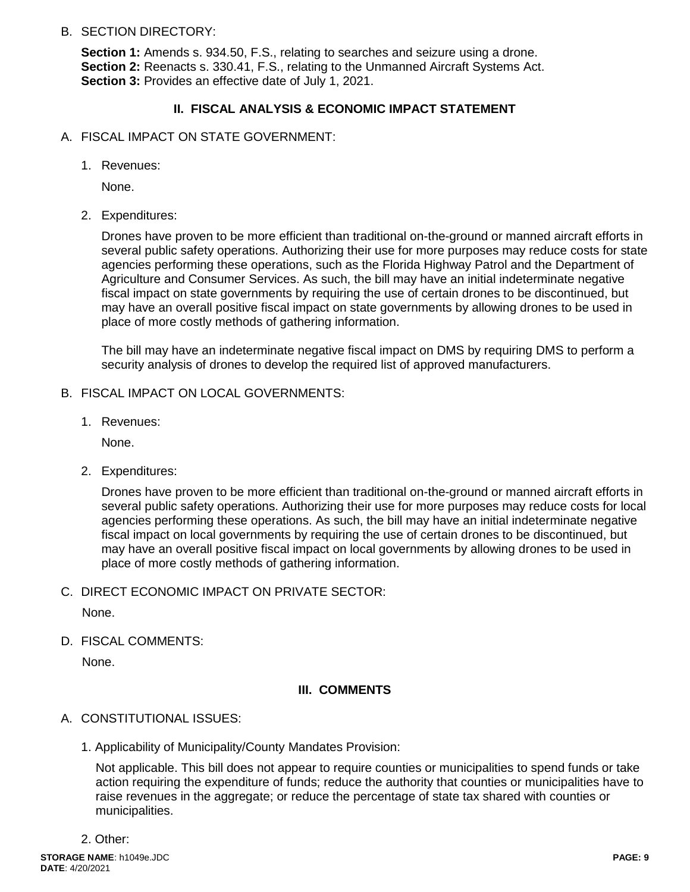B. SECTION DIRECTORY:

**Section 1:** Amends s. 934.50, F.S., relating to searches and seizure using a drone. **Section 2:** Reenacts s. 330.41, F.S., relating to the Unmanned Aircraft Systems Act. **Section 3:** Provides an effective date of July 1, 2021.

## **II. FISCAL ANALYSIS & ECONOMIC IMPACT STATEMENT**

- A. FISCAL IMPACT ON STATE GOVERNMENT:
	- 1. Revenues:

None.

2. Expenditures:

Drones have proven to be more efficient than traditional on-the-ground or manned aircraft efforts in several public safety operations. Authorizing their use for more purposes may reduce costs for state agencies performing these operations, such as the Florida Highway Patrol and the Department of Agriculture and Consumer Services. As such, the bill may have an initial indeterminate negative fiscal impact on state governments by requiring the use of certain drones to be discontinued, but may have an overall positive fiscal impact on state governments by allowing drones to be used in place of more costly methods of gathering information.

The bill may have an indeterminate negative fiscal impact on DMS by requiring DMS to perform a security analysis of drones to develop the required list of approved manufacturers.

- B. FISCAL IMPACT ON LOCAL GOVERNMENTS:
	- 1. Revenues:

None.

2. Expenditures:

Drones have proven to be more efficient than traditional on-the-ground or manned aircraft efforts in several public safety operations. Authorizing their use for more purposes may reduce costs for local agencies performing these operations. As such, the bill may have an initial indeterminate negative fiscal impact on local governments by requiring the use of certain drones to be discontinued, but may have an overall positive fiscal impact on local governments by allowing drones to be used in place of more costly methods of gathering information.

C. DIRECT ECONOMIC IMPACT ON PRIVATE SECTOR:

None.

D. FISCAL COMMENTS:

None.

#### **III. COMMENTS**

- A. CONSTITUTIONAL ISSUES:
	- 1. Applicability of Municipality/County Mandates Provision:

Not applicable. This bill does not appear to require counties or municipalities to spend funds or take action requiring the expenditure of funds; reduce the authority that counties or municipalities have to raise revenues in the aggregate; or reduce the percentage of state tax shared with counties or municipalities.

2. Other: